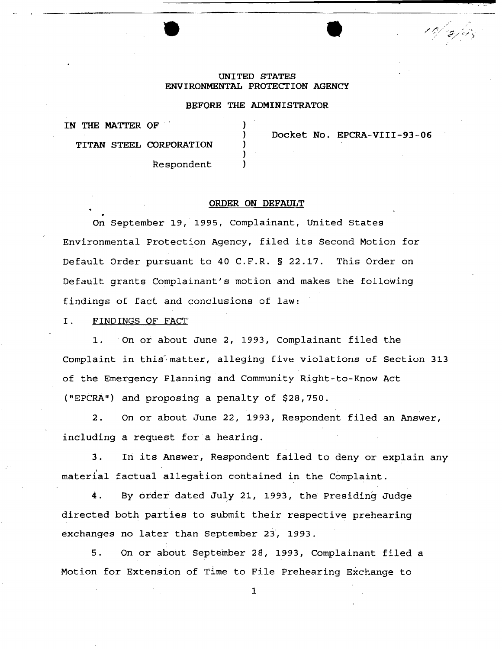## UNITED STATES ENVIRONMENTAL PROTECTION AGENCY

## BEFORE THE ADMINISTRATOR

} } } } )

IN THE MATTER OF

Docket No. EPCRA-VIII-93-06

**•** 

---------·----.. ---

10/2/45

TITAN STEEL CORPORATION

Respondent

#### ORDER ON DEFAULT

On September 19, 1995, Complainant, United States Environmental Protection Agency, filed its Second Motion for Default Order pursuant to 40 C.F.R. § 22.17. This Order on Default grants Complainant's motion and makes the following findings of fact and conclusions of law:

I. FINDINGS OF FACT

1. On or about June 2, 1993, Complainant filed the Complaint in this'· matter, alleging five violations of Section 313 of the Emergency Planning and Community Right-to-Know Act ("EPCAA") and proposing a penalty of \$28,750.

2. On or about June 22, 1993, Respondent filed an Answer, including a request for a hearing.

3. In its Answer, Respondent failed to deny or explain any material factual allegation contained in the Complaint.

4. By order dated July 21, 1993, the Presiding Judge directed both parties to submit their respective prehearing exchanges no later than September 23, 1993.

5. On or about September 28, 1993, Complainant filed a Motion for Extension of Time to File Prehearing Exchange to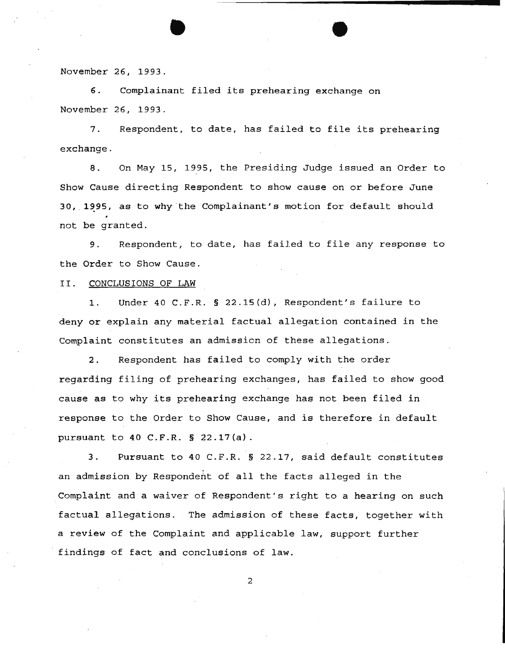November *26,* 1993.

6. Complainant filed its prehearing exchange on November *26,* 1993.

•

7. Respondent, to date, has failed to file its prehearing exchange.

8. On May 15, 1995, the Presiding Judge issued an Order to Show Cause directing Respondent to show cause on or before June 30, 1995, as to why the Complainant's motion for default should not be granted.

9. Respondent, to date, has failed to file any response to the Order to Show Cause.

#### II. CONCLUSIONS OF LAW

1. Under 40 C.F.R. § 22.15(d), Respondent's failure to deny or explain any material factual allegation contained in the Complaint constitutes an admissicn of these allegations.

2. Respondent has failed to comply with the order regarding filing of prehearing exchanges, has failed to show good cause as to why its prehearing exchange has not been filed in response to the Order to Show Cause, and is therefore in default pursuant to 40 C.F.R. § 22.17(a).

3. Pursuant to 40 C.F.R. § 22.17, said default constitutes an admission by Respondent of all the facts alleged in the Complaint and a waiver of Respondent's right to a hearing on such factual allegations. The admission of these facts, together with a review of the Complaint and applicable law, support further findings of fact and conclusions of law.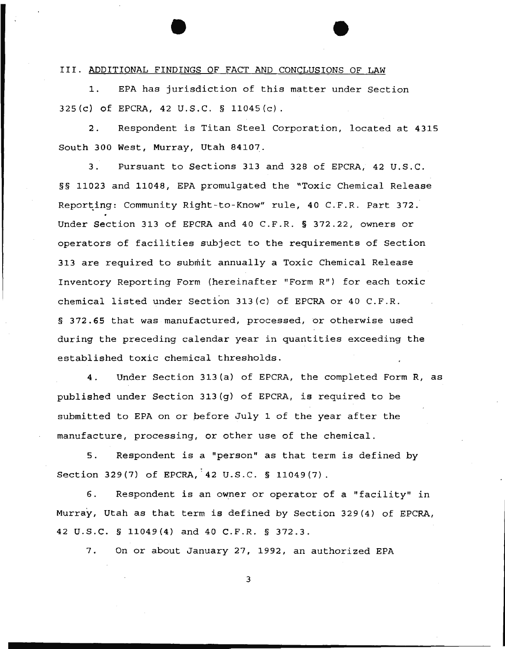## III. ADDITIONAL FINDINGS OF FACT AND CONCLUSIONS OF LAW

1. EPA has jurisdiction of this matter under Section 325(c) of EPCRA, 42 U.S.C. § 11045(c}.

2. Respondent is Titan Steel Corporation, located at 4315 South 300 West, Murray, Utah 84107.

3. Pursuant to Sections 313 and 328 of EPCRA, 42 U.S.C. §§ 11023 and 11048, EPA promulgated the "Toxic Chemical Release Reporting: Community Right-to-Know" rule, 40 C.F.R. Part 372. Under Section 313 of EPCRA and 40 C.F.R. § 372.22, owners or operators of facilities subject to the requirements of Section 313 are required to submit annually a Toxic Chemical Release Inventory Reporting Form (hereinafter "Form R") for each toxic chemical listed under Section 313(c) of EPCRA or 40 C.F.R. § 372.65 that was manufactured, processed, or otherwise used during the preceding calendar year in quantities exceeding the established toxic chemical thresholds .

4. Under Section 313(a) of EPCRA, the completed Form R, as published under Section 313(g) of EPCRA, is required to be submitted to EPA on or pefore July 1 of the year after the manufacture, processing, or other use of the chemical.

5. Respondent is a "person" as that term is defined by Section 329(7) of EPCRA,  $42 \text{ U.S.C. }$  \$ 11049(7).

6. Respondent is an owner or operator of a "facility" in Murray, Utah as that term is defined by Section 329(4} of EPCRA, 42 U.S.C. § 11049(4} and 40 C.F.R. § 372.3.

7. On or about January 27, 1992, an authorized EPA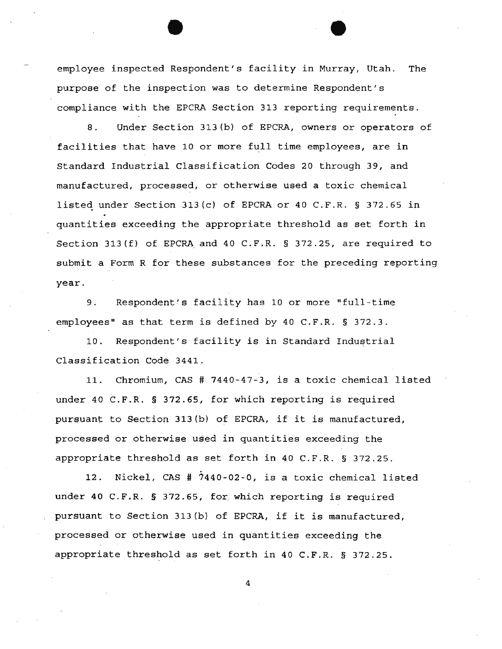employee inspected Respondent's facility in Murray, Utah. The purpose of the inspection was to determine Respondent's compliance with the EPCRA Section 313 reporting requirements.

8. Under Section 313(b) of EPCRA, owners or operators of facilities that have 10 or more full time employees, are in Standard Industrial Classification Codes 20 through 39, and manufactured, processed, or otherwise used a toxic chemical listed under Section 313(c) of EPCRA or 40 C.F.R. § 372.65 in quantities exceeding the appropriate threshold as set forth in Section 313(f) of EPCRA and 40 C.F.R. § 372.25, are required to submit a Form R for these substances for the preceding reporting year.

9. Respondent's facility has 10 or more "full-time employees" as that term is defined by 40 C.F.R. § 372.3.

10. Respondent's facility is in Standard Industrial Classification Code 3441.

11. Chromium, CAS # 7440-47-3, is a toxic chemical listed under 40 C.F.R. § 372.65, for which reporting is required pursuant to Section 313(b) of EPCRA, if it is manufactured, processed or otherwise used in quantities exceeding the appropriate threshold as set forth in 40 C.F.R. § 372.25.

12. Nickel, CAS # 7440-02-0, is a toxic chemical listed under 40 C.F.R. § 372.65, for which reporting is required pursuant to Section 313(b) of EPCRA, if it is manufactured, processed or otherwise used in quantities exceeding the appropriate threshold as set forth in 40 C.F.R. § 372.25.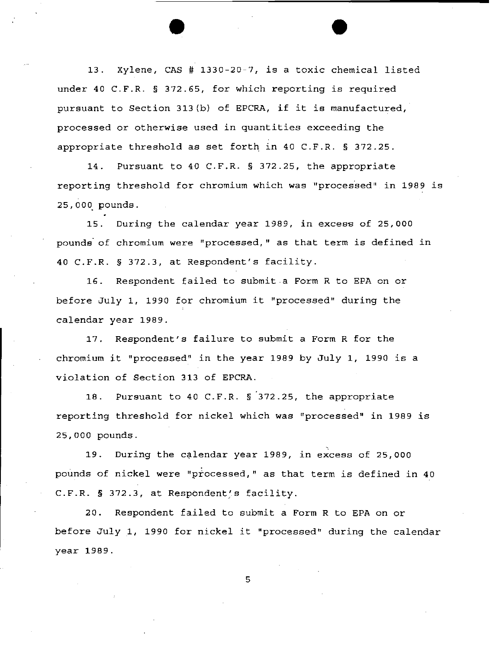13. Xylene, CAS# 1330-20-7, is a toxic chemical listed under 40 C.F.R. § 372.65, for which reporting is required pursuant to Section 313(b) of EPCRA, if it is manufactured, processed or otherwise used in quantities exceeding the appropriate threshold as set forth in 40 C.F.R. § 372.25.

14. Pursuant to 40 C.F.R. § 372.25, the appropriate reporting threshold for chromium which was "processed" in 1989 is 25,000. pounds.

15. During the calendar year 1989, in excess of 25,000 pounds of chromium were "processed," as that term is defined in 40 C.F.R. § 372.3, at Respondent's facility.

16. Respondent failed to submit a Form R to EPA on or before July 1, 1990 for chromium it "processed" during the calendar year 1989.

17. Respondent's failure to submit a Form R for the chromium it "processed" in the year 1989 by July 1, 1990 is a violation of Section 313 of EPCRA.

18. Pursuant to 40 C.F.R. § 372.25, the appropriate reporting threshold for nickel which was "processed" in 1989 is 25,000 pounds.

19. During the calendar year 1989, in excess of 25,000 pounds of nickel were "processed," as that term is defined in 40 C.F.R. § 372.3, at Respondent's facility.

20. Respondent failed to submit a Form R to EPA on or before July 1, 1990 for nickel it "processed" during the calendar year 1989.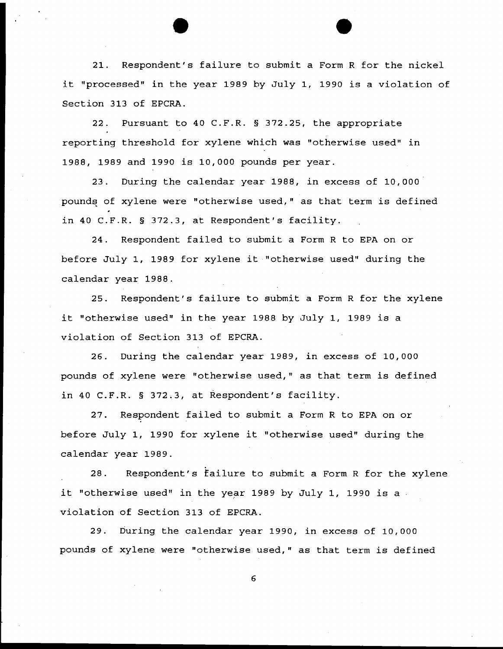21. Respondent's failure to submit a Form R for the nickel it "processed" in the year 1989 by July 1, 1990 is a violation of Section 313 of EPCRA.

22. Pursuant to 40 C.F.R. § 372.25, the appropriate reporting threshold for xylene which was "otherwise used" in 1988, 1989 and 1990 is 10,000 pounds per year.

23. During the calendar year 1988, in excess of 10,000 pounds of xylene were "otherwise used," as that term is defined in 40 C.F.R. § 372.3, at Respondent's facility.

24. Respondent failed to submit a Form R to EPA on or before July 1, 1989 for xylene it "otherwise used" during the calendar year 1988.

25. Respondent's failure to submit a Form R for the xylene it "otherwise used" in the year 1988 by July 1, 1989 is a violation of Section 313 of EPCRA.

26. During the calendar year 1989, in excess of 10,000 pounds of xylene were "otherwise used," as that term is defined in 40 C.F.R. § 372.3, at Respondent's facility.

27. Respondent failed to submit a Form R to EPA on or before July 1, 1990 for xylene it "otherwise used" during the calendar year 1989.

28. Respondent's failure to submit a Form R for the xylene it "otherwise used" in the year 1989 by July 1, 1990 is a violation of Section 313 of EPCRA.

29. During the calendar year 1990, in excess of 10,000 pounds of xylene were "otherwise used," as that term is defined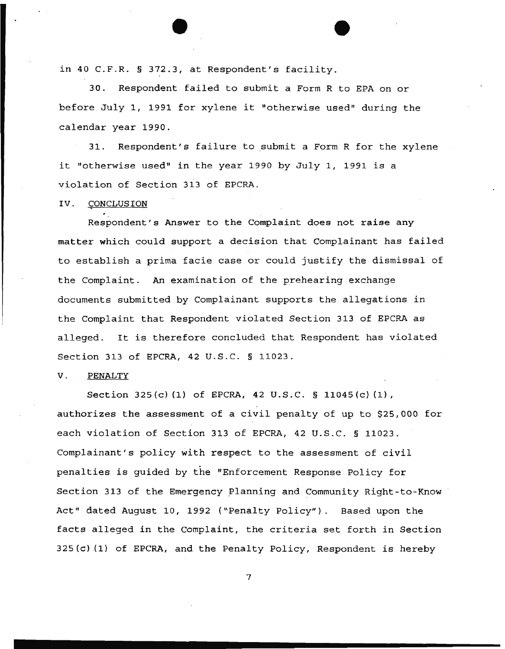in 40 C.F.R. § 372.3, at Respondent's facility.

30. Respondent failed to submit a Form R to EPA on or before July 1, 1991 for xylene it "otherwise used" during the calendar year 1990.

31. Respondent's failure to submit a Form R for the xylene it "otherwise used" in the year 1990 by July 1, 1991 is a violation of Section 313 of EPCRA.

## IV. CONCLUSION

Respondent's Answer to the Complaint does not raise any matter which could support a decision that Complainant has failed to establish a prima facie case or could justify the dismissal of the Complaint. An examination of the prehearing exchange documents submitted by Complainant supports the allegations in the Complaint that Respondent violated Section 313 of EPCRA as alleged. It is therefore concluded that Respondent has violated Section 313 of EPCRA, 42 U.S.C. § 11023.

## V. PENALTY

Section 325(c) (1) of EPCRA, 42 U. S.C. § 11045(c) (1), authorizes the assessment of a civil penalty of up to \$25,000 for each violation of Section 313 of EPCRA, 42 U.S.C. § 11023. Complainant's policy with respect to the assessment of civil penalties is guided by the "Enforcement Response Policy for Section 313 of the Emergency Planning and Community Right-to-Know Act" dated August 10, 1992 ("Penalty Policy"). Based upon the facts alleged in the Complaint, the criteria set forth in Section 325(c) (1) of EPCRA, and the Penalty Policy, Respondent is hereby

7

...................... \_\_\_\_\_\_\_\_\_\_\_\_\_\_\_\_\_\_\_\_\_\_ \_\_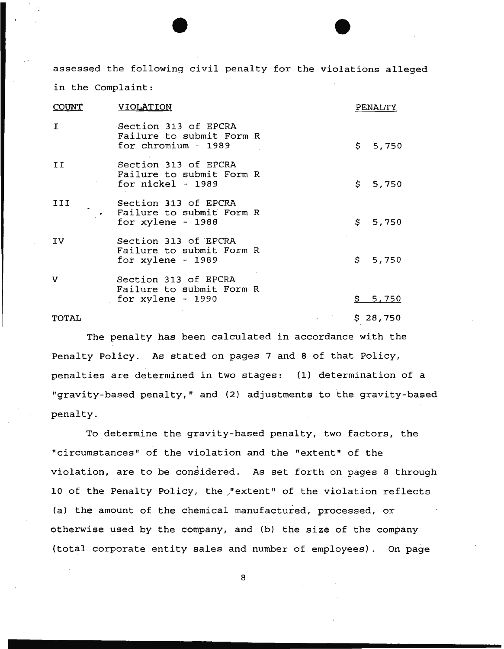assessed the following civil penalty for the violations alleged in the Complaint:

| COUNT | <b>VIOLATION</b>                                                        |    | PENALTY  |
|-------|-------------------------------------------------------------------------|----|----------|
| I     | Section 313 of EPCRA<br>Failure to submit Form R<br>for chromium - 1989 |    | \$5,750  |
| II.   | Section 313 of EPCRA<br>Failure to submit Form R<br>for $nickel - 1989$ |    | \$5,750  |
| III   | Section 313 of EPCRA<br>Failure to submit Form R<br>for xylene - 1988   |    | \$5,750  |
| IV    | Section 313 of EPCRA<br>Failure to submit Form R<br>for $xylene - 1989$ |    | \$5,750  |
| v     | Section 313 of EPCRA<br>Failure to submit Form R<br>for $xylene - 1990$ | S. | 5,750    |
| TOTAL |                                                                         |    | \$28,750 |

The penalty has been calculated in accordance with the Penalty Policy. As stated on pages 7 and 8 of that Policy, penalties are determined in two stages: (1} determination of a "gravity-based penalty," and (2) adjustments to the gravity-based penalty.

To determine the gravity-based penalty, two factors, the "circumstances" of the violation and the "extent" of the violation, are to be considered. As set forth on pages 8 through 10 of the Penalty Policy, the "extent" of the violation reflects (a) the amount of the chemical manufactured, processed, or otherwise used by the company, and (b) the size of the company (total corporate entity sales and number of employees) . On page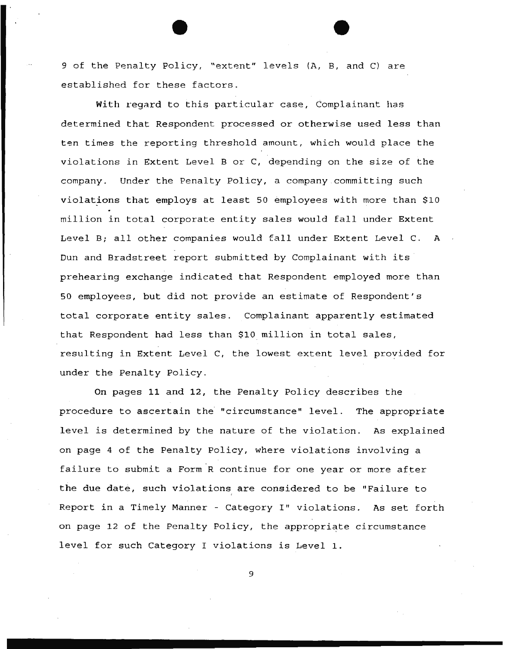9 of the Penalty Policy, "extent" levels (A, B, and C) are established for these factors.

With regard to this particular case, Complainant has determined that Respondent processed or otherwise used less than ten times the reporting threshold amount, which would place the violations in Extent Level B or C, depending on the size of the company. Under the Penalty Policy, a company committing such violations that employs at least 50 employees with more than \$10 million in total corporate entity sales would fall under Extent Level B; all other companies would fall under Extent Level C. A Dun and Bradstreet report submitted by Complainant with its prehearing exchange indicated that Respondent employed more than 50 employees, but did not provide an estimate of Respondent's total corporate entity sales. Complainant apparently estimated that Respondent had less than \$10 million in total sales, resulting in Extent Level C, the lowest extent level proyided for under the Penalty Policy.

On pages 11 and 12, the Penalty Policy describes the procedure to ascertain the "circumstance" level. The appropriate level is determined by the nature of the violation. As explained on page 4 of the Penalty Policy, where violations involving a failure to submit a Form.R continue for one year or more after the due date, such violations are considered to be "Failure to Report in a Timely Manner - Category I" violations. As set forth on page 12 of the Penalty Policy, the appropriate circumstance level for such Category I violations is Level 1.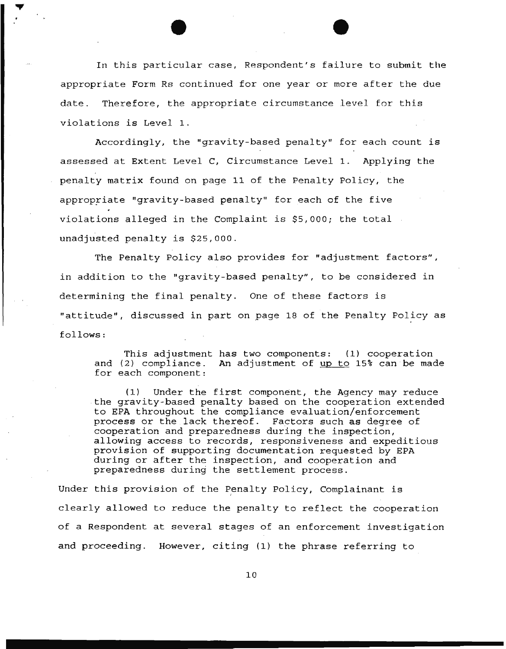In this particular case, Respondent's failure to submit the appropriate Form Rs continued for one year or more after the due date. Therefore, the appropriate circumstance level for this violations is Level 1.

Accordingly, the "gravity-based penalty" for each count is assessed at Extent Level C, Circumstance Level 1. Applying the penalty matrix found on page 11 of the Penalty Policy, the appropriate "gravity-based penalty" for each of the five violations alleged in the Complaint is \$5,000; the total unadjusted penalty is \$25,000.

The Penalty Policy also provides for "adjustment factors", in addition to the "gravity-based penalty", to be considered in determining the final penalty. One of these factors is "attitude", discussed in part on page 18 of the Penalty Policy as follows:

This adjustment has two components: (1) cooperation and  $(2)$  compliance. An adjustment of  $\mu$ p to 15% can be made for each component:

(1) Under the first component, the Agency may reduce the gravity-based penalty based on the cooperation extended to EPA throughout the compliance evaluation/enforcement process or the lack thereof. Factors such as degree of cooperation and preparedness during the inspection, allowing access to records, responsiveness and expeditious provision of supporting documentation requested by EPA during or after the inspection, and cooperation and preparedness during the settlement process.

Under this provision of the Penalty Policy, Complainant is clearly allowed to reduce the penalty to reflect the cooperation of a Respondent at several stages of an enforcement investigation and proceeding. However, citing (1) the phrase referring to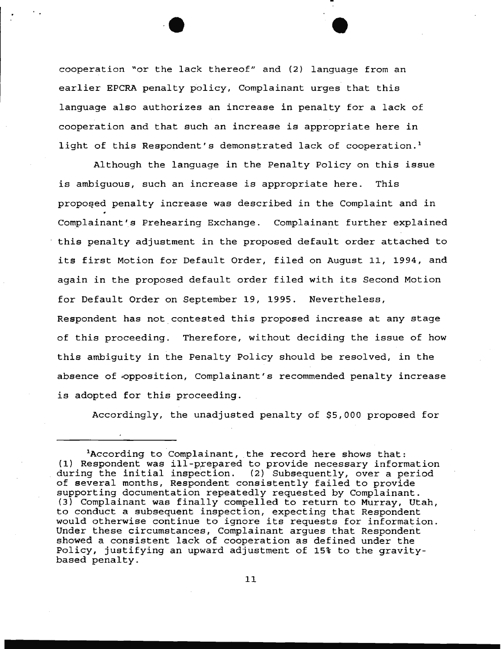cooperation "or the lack thereof" and (2) language from an earlier EPCRA penalty policy, Complainant urges that this language also authorizes an increase in penalty for a lack of cooperation and that such an increase is appropriate here in light of this Respondent's demonstrated lack of cooperation.<sup>1</sup>

 $\bullet$  expression  $\bullet$ 

Although the language in the Penalty Policy on this issue is ambiguous, such an increase is appropriate here. This proposed penalty increase was described in the Complaint and in Complainant's Prehearing Exchange. Complainant further explained this penalty adjustment in the proposed default order attached to its first Motion for Default Order, filed on August 11, 1994, and again in the proposed default order filed with its Second Motion for Default Order on September 19, 1995. Nevertheless, Respondent has not contested this proposed increase at any stage of this proceeding. Therefore, without deciding the issue of how this ambiguity in the Penalty Policy should be resolved, in the absence of •Opposition, Complainant's recommended penalty increase is adopted for this proceeding.

Accordingly, the unadjusted penalty of \$5,000 proposed for

<sup>&</sup>lt;sup>1</sup>According to Complainant, the record here shows that: (1) Respondent was ill-prepared to provide necessary information (1) Respondent was III-prepared to provide necessary information<br>during the initial inspection. (2) Subsequently, over a period of several months, Respondent consistently failed to provide supporting documentation repeatedly requested by Complainant. (3) Complainant was finally compelled to return to Murray, Utah, to conduct a subsequent inspection, expecting that Respondent would otherwise continue to ignore its requests for information. Under these circumstances, Complainant argues that Respondent showed a consistent lack of cooperation as defined under the Policy, justifying an upward adjustment of 15% to the gravitybased penalty.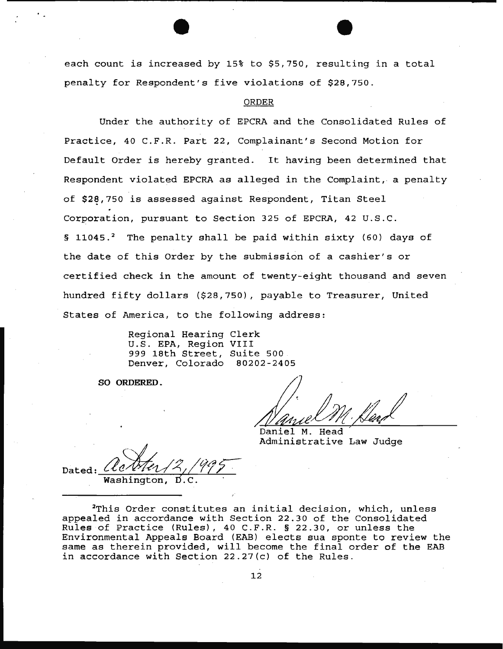each count is increased by 15% to \$5,750, resulting in a total penalty for Respondent's five violations of \$28,750 .

#### ORDER

Under the authority of EPCRA and the Consolidated Rules of Practice, 40 C.F.R. Part 22, Complainant's Second Motion for Default Order is hereby granted. It having been determined that Respondent violated EPCRA as alleged in the Complaint, a penalty of  $$28,750$  is assessed against Respondent, Titan Steel Corporation, pursuant to Section 325 of EPCRA, 42 U.S.C. § 11045.<sup>2</sup> The penalty shall be paid within sixty (60) days of the date of this Order by the submission of a cashier's or certified check in the amount of twenty-eight thousand and seven hundred fifty dollars (\$28,750), payable to Treasurer, United States of America, to the following address:

> Regional Hearing Clerk U.S. EPA, Region VIII 999 18th Street, Suite 500 Denver, Colorado 80202-2405

SO ORDERED.

Daniel M. Head Administrative Law Judge

Dated:  $\ell$ Washington, Acter 12, 1995

2This Order constitutes an initial decision, which, unless appealed in accordance with Section 22.30 of the Consolidated Rules of Practice (Rules), 40 C.F.R. § 22.30, or unless the Environmental Appeals Board (EAB) elects sua sponte to review the same as therein provided, will become the final order of the EAB in accordance with Section 22.27(c) of the Rules.